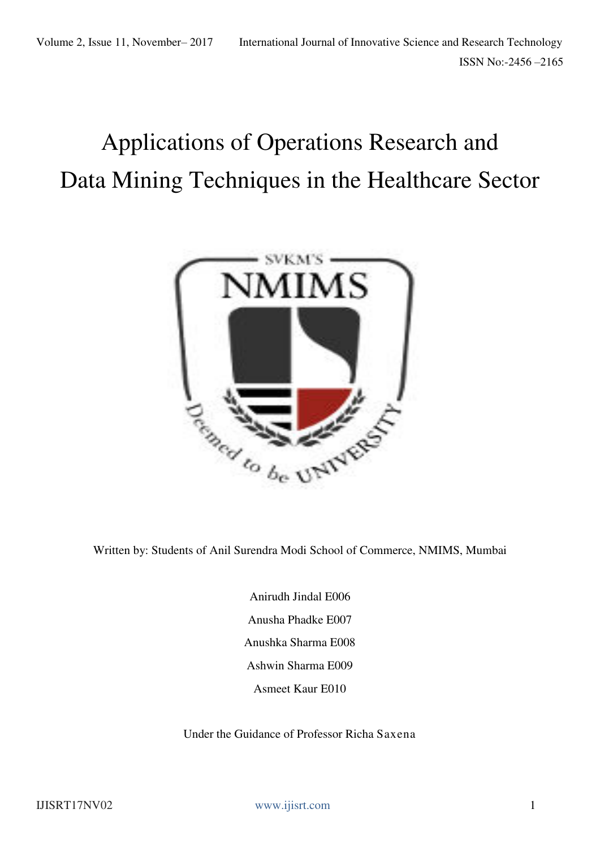# Applications of Operations Research and Data Mining Techniques in the Healthcare Sector



Written by: Students of Anil Surendra Modi School of Commerce, NMIMS, Mumbai

Anirudh Jindal E006 Anusha Phadke E007 Anushka Sharma E008 Ashwin Sharma E009 Asmeet Kaur E010

Under the Guidance of Professor Richa Saxena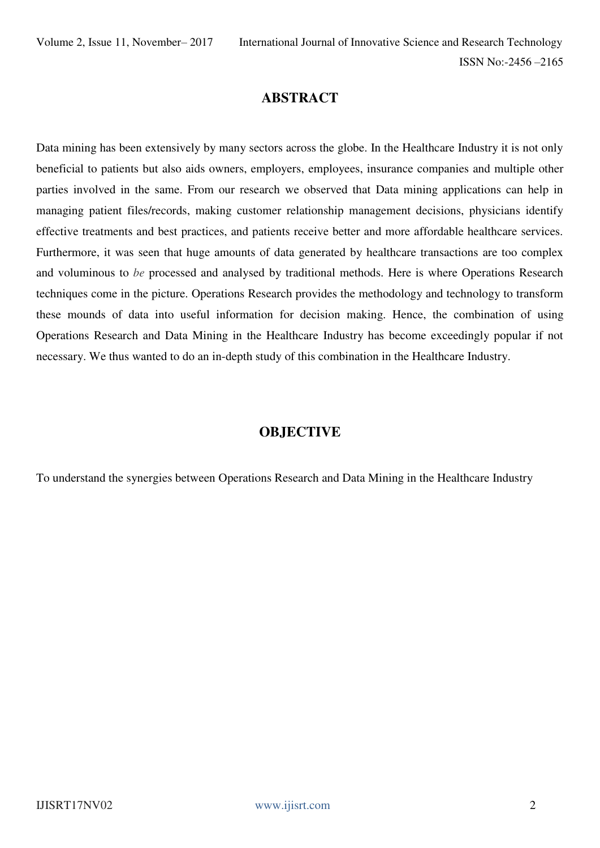# **ABSTRACT**

Data mining has been extensively by many sectors across the globe. In the Healthcare Industry it is not only beneficial to patients but also aids owners, employers, employees, insurance companies and multiple other parties involved in the same. From our research we observed that Data mining applications can help in managing patient files/records, making customer relationship management decisions, physicians identify effective treatments and best practices, and patients receive better and more affordable healthcare services. Furthermore, it was seen that huge amounts of data generated by healthcare transactions are too complex and voluminous to *be* processed and analysed by traditional methods. Here is where Operations Research techniques come in the picture. Operations Research provides the methodology and technology to transform these mounds of data into useful information for decision making. Hence, the combination of using Operations Research and Data Mining in the Healthcare Industry has become exceedingly popular if not necessary. We thus wanted to do an in-depth study of this combination in the Healthcare Industry.

### **OBJECTIVE**

To understand the synergies between Operations Research and Data Mining in the Healthcare Industry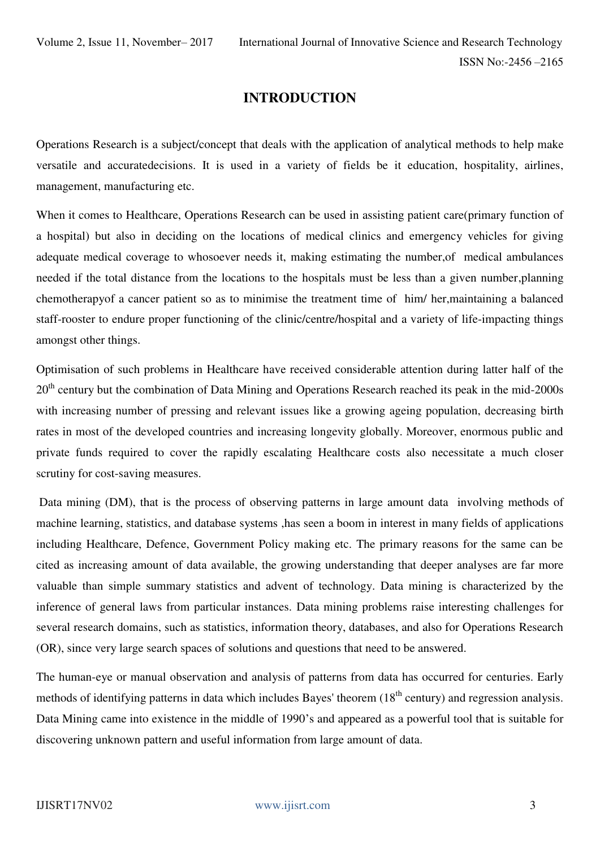# **INTRODUCTION**

Operations Research is a subject/concept that deals with the application of analytical methods to help make versatile and accuratedecisions. It is used in a variety of fields be it education, hospitality, airlines, management, manufacturing etc.

When it comes to Healthcare, Operations Research can be used in assisting patient care(primary function of a hospital) but also in deciding on the locations of medical clinics and emergency vehicles for giving adequate medical coverage to whosoever needs it, making estimating the number,of medical ambulances needed if the total distance from the locations to the hospitals must be less than a given number,planning chemotherapyof a cancer patient so as to minimise the treatment time of him/ her,maintaining a balanced staff-rooster to endure proper functioning of the clinic/centre/hospital and a variety of life-impacting things amongst other things.

Optimisation of such problems in Healthcare have received considerable attention during latter half of the 20<sup>th</sup> century but the combination of Data Mining and Operations Research reached its peak in the mid-2000s with increasing number of pressing and relevant issues like a growing ageing population, decreasing birth rates in most of the developed countries and increasing longevity globally. Moreover, enormous public and private funds required to cover the rapidly escalating Healthcare costs also necessitate a much closer scrutiny for cost-saving measures.

 Data mining (DM), that is the process of observing patterns in large amount data involving methods of machine learning, statistics, and database systems ,has seen a boom in interest in many fields of applications including Healthcare, Defence, Government Policy making etc. The primary reasons for the same can be cited as increasing amount of data available, the growing understanding that deeper analyses are far more valuable than simple summary statistics and advent of technology. Data mining is characterized by the inference of general laws from particular instances. Data mining problems raise interesting challenges for several research domains, such as statistics, information theory, databases, and also for Operations Research (OR), since very large search spaces of solutions and questions that need to be answered.

The human-eye or manual observation and analysis of patterns from data has occurred for centuries. Early methods of identifying patterns in data which includes Bayes' theorem (18<sup>th</sup> century) and regression analysis. Data Mining came into existence in the middle of 1990's and appeared as a powerful tool that is suitable for discovering unknown pattern and useful information from large amount of data.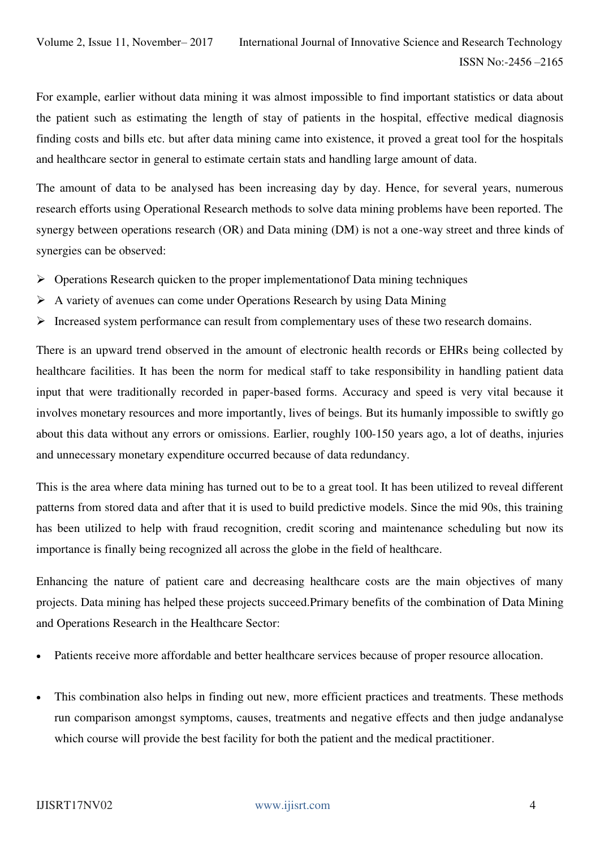For example, earlier without data mining it was almost impossible to find important statistics or data about the patient such as estimating the length of stay of patients in the hospital, effective medical diagnosis finding costs and bills etc. but after data mining came into existence, it proved a great tool for the hospitals and healthcare sector in general to estimate certain stats and handling large amount of data.

The amount of data to be analysed has been increasing day by day. Hence, for several years, numerous research efforts using Operational Research methods to solve data mining problems have been reported. The synergy between operations research (OR) and Data mining (DM) is not a one-way street and three kinds of synergies can be observed:

- $\triangleright$  Operations Research quicken to the proper implementation Data mining techniques
- A variety of avenues can come under Operations Research by using Data Mining
- $\triangleright$  Increased system performance can result from complementary uses of these two research domains.

There is an upward trend observed in the amount of electronic health records or EHRs being collected by healthcare facilities. It has been the norm for medical staff to take responsibility in handling patient data input that were traditionally recorded in paper-based forms. Accuracy and speed is very vital because it involves monetary resources and more importantly, lives of beings. But its humanly impossible to swiftly go about this data without any errors or omissions. Earlier, roughly 100-150 years ago, a lot of deaths, injuries and unnecessary monetary expenditure occurred because of data redundancy.

This is the area where data mining has turned out to be to a great tool. It has been utilized to reveal different patterns from stored data and after that it is used to build predictive models. Since the mid 90s, this training has been utilized to help with fraud recognition, credit scoring and maintenance scheduling but now its importance is finally being recognized all across the globe in the field of healthcare.

Enhancing the nature of patient care and decreasing healthcare costs are the main objectives of many projects. Data mining has helped these projects succeed.Primary benefits of the combination of Data Mining and Operations Research in the Healthcare Sector:

- Patients receive more affordable and better healthcare services because of proper resource allocation.
- This combination also helps in finding out new, more efficient practices and treatments. These methods run comparison amongst symptoms, causes, treatments and negative effects and then judge andanalyse which course will provide the best facility for both the patient and the medical practitioner.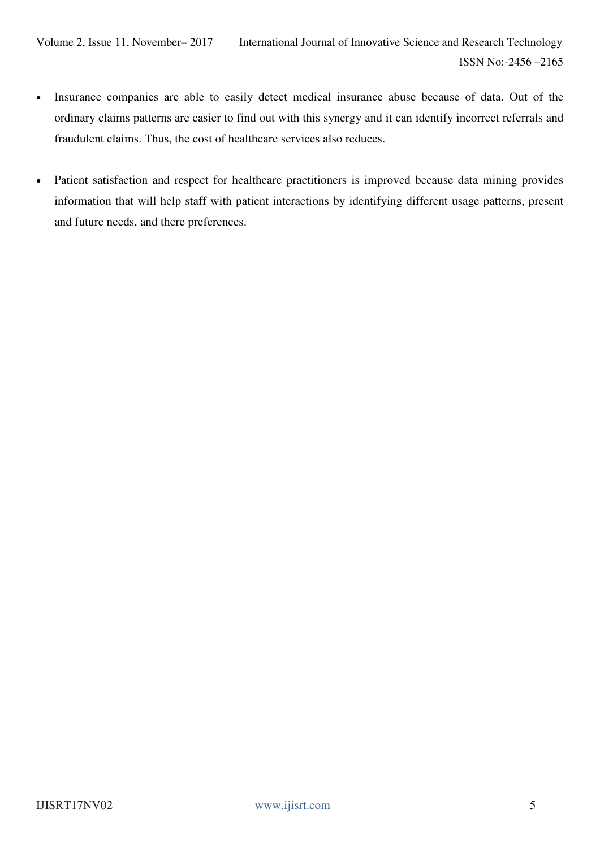- Insurance companies are able to easily detect medical insurance abuse because of data. Out of the ordinary claims patterns are easier to find out with this synergy and it can identify incorrect referrals and fraudulent claims. Thus, the cost of healthcare services also reduces.
- Patient satisfaction and respect for healthcare practitioners is improved because data mining provides information that will help staff with patient interactions by identifying different usage patterns, present and future needs, and there preferences.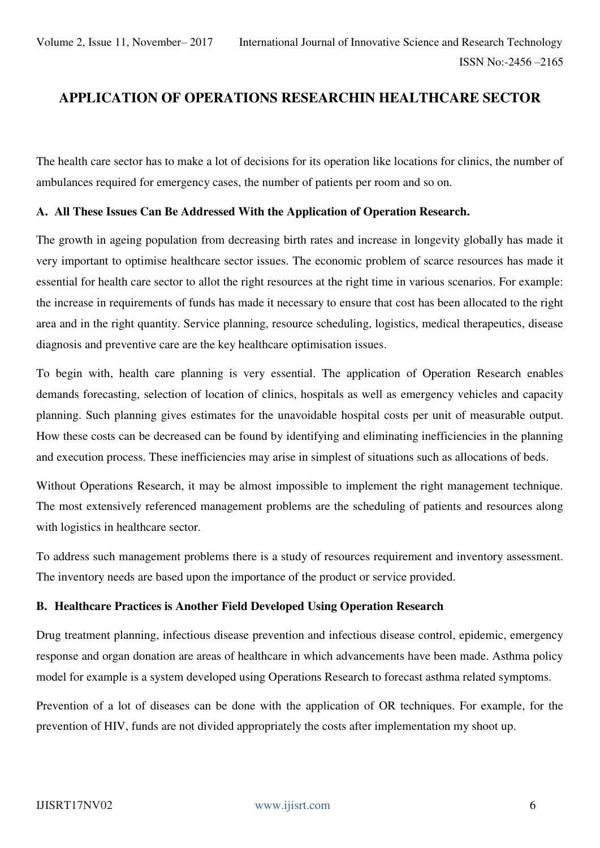# **APPLICATION OF OPERATIONS RESEARCHIN HEALTHCARE SECTOR**

The health care sector has to make a lot of decisions for its operation like locations for clinics, the number of ambulances required for emergency cases, the number of patients per room and so on.

#### **A. All These Issues Can Be Addressed With the Application of Operation Research.**

The growth in ageing population from decreasing birth rates and increase in longevity globally has made it very important to optimise healthcare sector issues. The economic problem of scarce resources has made it essential for health care sector to allot the right resources at the right time in various scenarios. For example: the increase in requirements of funds has made it necessary to ensure that cost has been allocated to the right area and in the right quantity. Service planning, resource scheduling, logistics, medical therapeutics, disease diagnosis and preventive care are the key healthcare optimisation issues.

To begin with, health care planning is very essential. The application of Operation Research enables demands forecasting, selection of location of clinics, hospitals as well as emergency vehicles and capacity planning. Such planning gives estimates for the unavoidable hospital costs per unit of measurable output. How these costs can be decreased can be found by identifying and eliminating inefficiencies in the planning and execution process. These inefficiencies may arise in simplest of situations such as allocations of beds.

Without Operations Research, it may be almost impossible to implement the right management technique. The most extensively referenced management problems are the scheduling of patients and resources along with logistics in healthcare sector.

To address such management problems there is a study of resources requirement and inventory assessment. The inventory needs are based upon the importance of the product or service provided.

#### **B. Healthcare Practices is Another Field Developed Using Operation Research**

Drug treatment planning, infectious disease prevention and infectious disease control, epidemic, emergency response and organ donation are areas of healthcare in which advancements have been made. Asthma policy model for example is a system developed using Operations Research to forecast asthma related symptoms.

Prevention of a lot of diseases can be done with the application of OR techniques. For example, for the prevention of HIV, funds are not divided appropriately the costs after implementation my shoot up.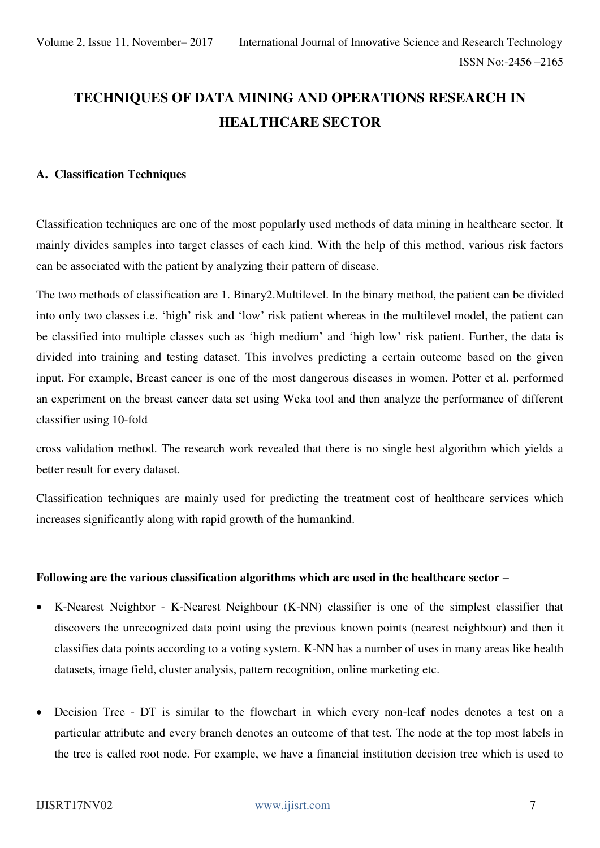# **TECHNIQUES OF DATA MINING AND OPERATIONS RESEARCH IN HEALTHCARE SECTOR**

#### **A. Classification Techniques**

Classification techniques are one of the most popularly used methods of data mining in healthcare sector. It mainly divides samples into target classes of each kind. With the help of this method, various risk factors can be associated with the patient by analyzing their pattern of disease.

The two methods of classification are 1. Binary2.Multilevel. In the binary method, the patient can be divided into only two classes i.e. 'high' risk and 'low' risk patient whereas in the multilevel model, the patient can be classified into multiple classes such as 'high medium' and 'high low' risk patient. Further, the data is divided into training and testing dataset. This involves predicting a certain outcome based on the given input. For example, Breast cancer is one of the most dangerous diseases in women. Potter et al. performed an experiment on the breast cancer data set using Weka tool and then analyze the performance of different classifier using 10-fold

cross validation method. The research work revealed that there is no single best algorithm which yields a better result for every dataset.

Classification techniques are mainly used for predicting the treatment cost of healthcare services which increases significantly along with rapid growth of the humankind.

#### **Following are the various classification algorithms which are used in the healthcare sector –**

- K-Nearest Neighbor K-Nearest Neighbour (K-NN) classifier is one of the simplest classifier that discovers the unrecognized data point using the previous known points (nearest neighbour) and then it classifies data points according to a voting system. K-NN has a number of uses in many areas like health datasets, image field, cluster analysis, pattern recognition, online marketing etc.
- Decision Tree DT is similar to the flowchart in which every non-leaf nodes denotes a test on a particular attribute and every branch denotes an outcome of that test. The node at the top most labels in the tree is called root node. For example, we have a financial institution decision tree which is used to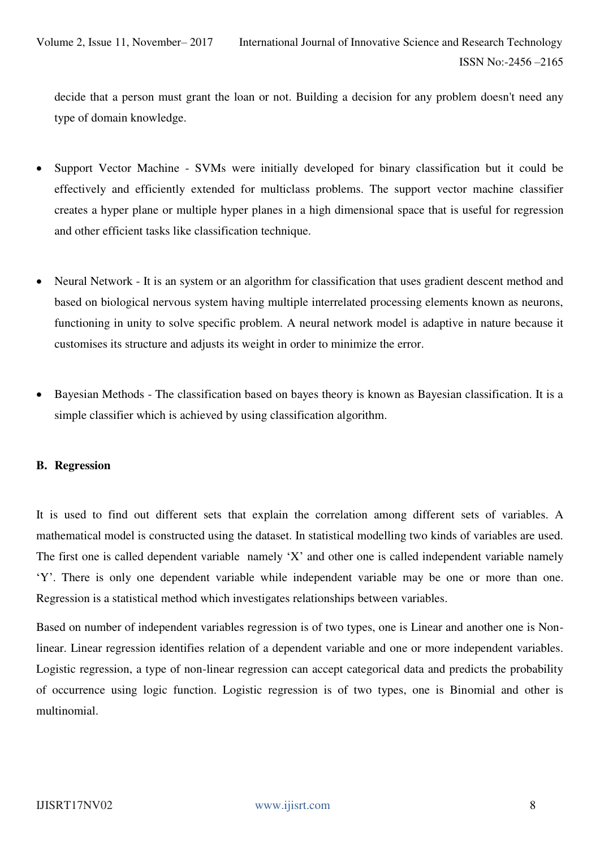decide that a person must grant the loan or not. Building a decision for any problem doesn't need any type of domain knowledge.

- Support Vector Machine SVMs were initially developed for binary classification but it could be effectively and efficiently extended for multiclass problems. The support vector machine classifier creates a hyper plane or multiple hyper planes in a high dimensional space that is useful for regression and other efficient tasks like classification technique.
- Neural Network It is an system or an algorithm for classification that uses gradient descent method and based on biological nervous system having multiple interrelated processing elements known as neurons, functioning in unity to solve specific problem. A neural network model is adaptive in nature because it customises its structure and adjusts its weight in order to minimize the error.
- Bayesian Methods The classification based on bayes theory is known as Bayesian classification. It is a simple classifier which is achieved by using classification algorithm.

#### **B. Regression**

It is used to find out different sets that explain the correlation among different sets of variables. A mathematical model is constructed using the dataset. In statistical modelling two kinds of variables are used. The first one is called dependent variable namely 'X' and other one is called independent variable namely 'Y'. There is only one dependent variable while independent variable may be one or more than one. Regression is a statistical method which investigates relationships between variables.

Based on number of independent variables regression is of two types, one is Linear and another one is Nonlinear. Linear regression identifies relation of a dependent variable and one or more independent variables. Logistic regression, a type of non-linear regression can accept categorical data and predicts the probability of occurrence using logic function. Logistic regression is of two types, one is Binomial and other is multinomial.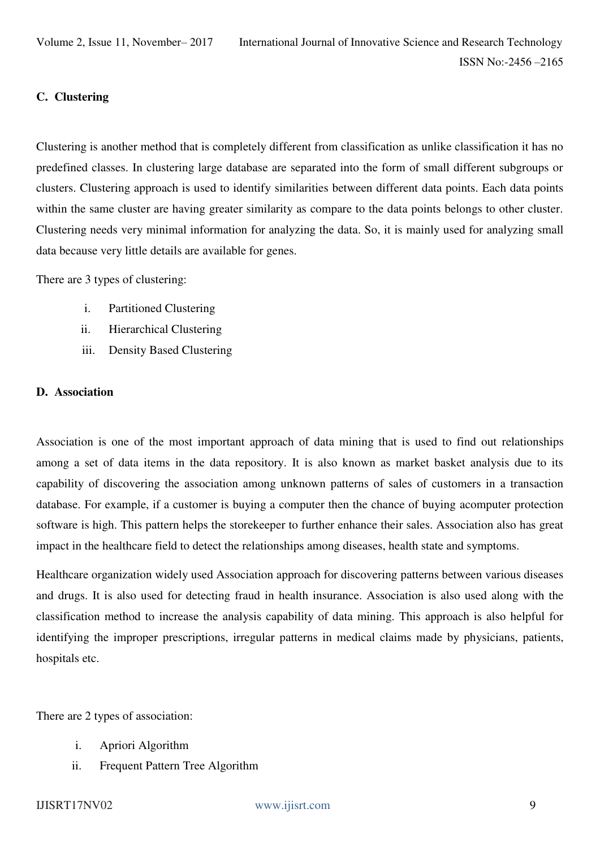#### **C. Clustering**

Clustering is another method that is completely different from classification as unlike classification it has no predefined classes. In clustering large database are separated into the form of small different subgroups or clusters. Clustering approach is used to identify similarities between different data points. Each data points within the same cluster are having greater similarity as compare to the data points belongs to other cluster. Clustering needs very minimal information for analyzing the data. So, it is mainly used for analyzing small data because very little details are available for genes.

There are 3 types of clustering:

- i. Partitioned Clustering
- ii. Hierarchical Clustering
- iii. Density Based Clustering

#### **D. Association**

Association is one of the most important approach of data mining that is used to find out relationships among a set of data items in the data repository. It is also known as market basket analysis due to its capability of discovering the association among unknown patterns of sales of customers in a transaction database. For example, if a customer is buying a computer then the chance of buying acomputer protection software is high. This pattern helps the storekeeper to further enhance their sales. Association also has great impact in the healthcare field to detect the relationships among diseases, health state and symptoms.

Healthcare organization widely used Association approach for discovering patterns between various diseases and drugs. It is also used for detecting fraud in health insurance. Association is also used along with the classification method to increase the analysis capability of data mining. This approach is also helpful for identifying the improper prescriptions, irregular patterns in medical claims made by physicians, patients, hospitals etc.

There are 2 types of association:

- i. Apriori Algorithm
- ii. Frequent Pattern Tree Algorithm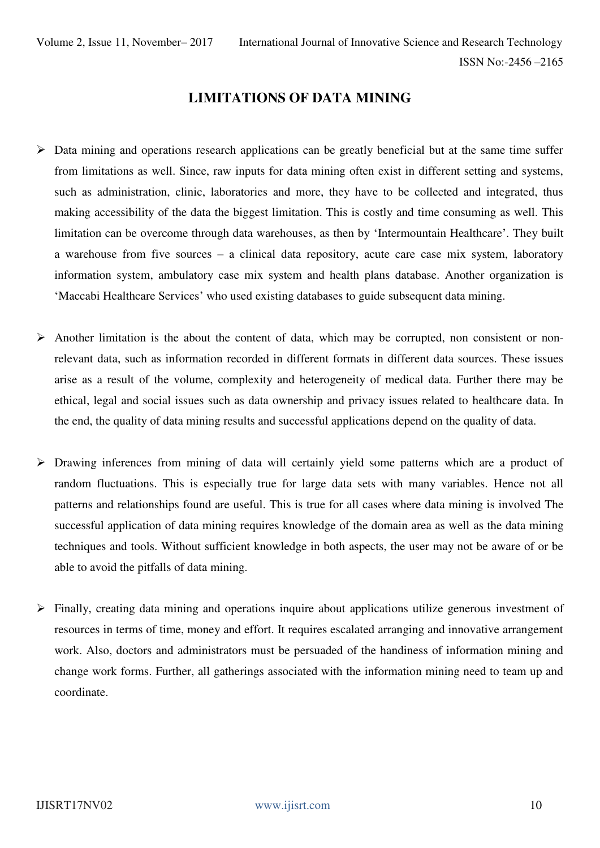## **LIMITATIONS OF DATA MINING**

- $\triangleright$  Data mining and operations research applications can be greatly beneficial but at the same time suffer from limitations as well. Since, raw inputs for data mining often exist in different setting and systems, such as administration, clinic, laboratories and more, they have to be collected and integrated, thus making accessibility of the data the biggest limitation. This is costly and time consuming as well. This limitation can be overcome through data warehouses, as then by 'Intermountain Healthcare'. They built a warehouse from five sources – a clinical data repository, acute care case mix system, laboratory information system, ambulatory case mix system and health plans database. Another organization is 'Maccabi Healthcare Services' who used existing databases to guide subsequent data mining.
- $\triangleright$  Another limitation is the about the content of data, which may be corrupted, non consistent or nonrelevant data, such as information recorded in different formats in different data sources. These issues arise as a result of the volume, complexity and heterogeneity of medical data. Further there may be ethical, legal and social issues such as data ownership and privacy issues related to healthcare data. In the end, the quality of data mining results and successful applications depend on the quality of data.
- Drawing inferences from mining of data will certainly yield some patterns which are a product of random fluctuations. This is especially true for large data sets with many variables. Hence not all patterns and relationships found are useful. This is true for all cases where data mining is involved The successful application of data mining requires knowledge of the domain area as well as the data mining techniques and tools. Without sufficient knowledge in both aspects, the user may not be aware of or be able to avoid the pitfalls of data mining.
- Finally, creating data mining and operations inquire about applications utilize generous investment of resources in terms of time, money and effort. It requires escalated arranging and innovative arrangement work. Also, doctors and administrators must be persuaded of the handiness of information mining and change work forms. Further, all gatherings associated with the information mining need to team up and coordinate.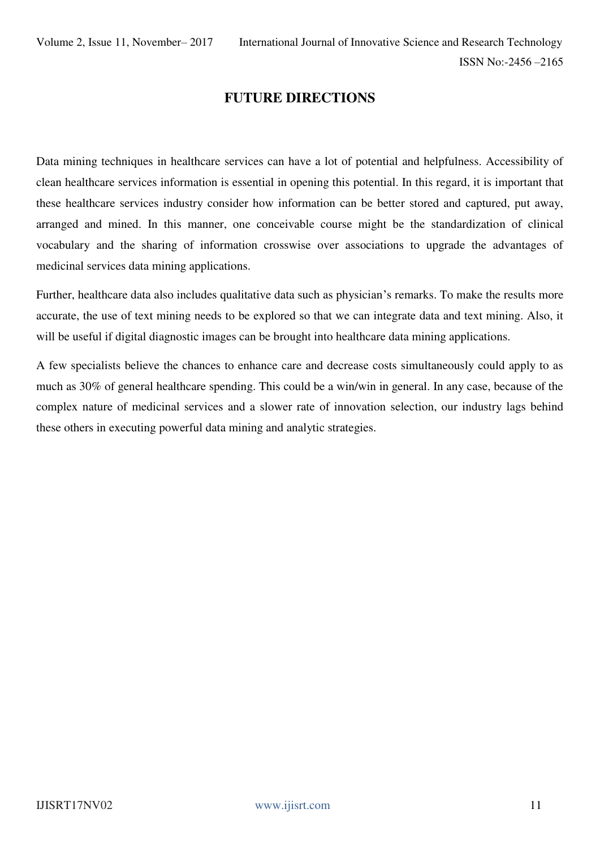# **FUTURE DIRECTIONS**

Data mining techniques in healthcare services can have a lot of potential and helpfulness. Accessibility of clean healthcare services information is essential in opening this potential. In this regard, it is important that these healthcare services industry consider how information can be better stored and captured, put away, arranged and mined. In this manner, one conceivable course might be the standardization of clinical vocabulary and the sharing of information crosswise over associations to upgrade the advantages of medicinal services data mining applications.

Further, healthcare data also includes qualitative data such as physician's remarks. To make the results more accurate, the use of text mining needs to be explored so that we can integrate data and text mining. Also, it will be useful if digital diagnostic images can be brought into healthcare data mining applications.

A few specialists believe the chances to enhance care and decrease costs simultaneously could apply to as much as 30% of general healthcare spending. This could be a win/win in general. In any case, because of the complex nature of medicinal services and a slower rate of innovation selection, our industry lags behind these others in executing powerful data mining and analytic strategies.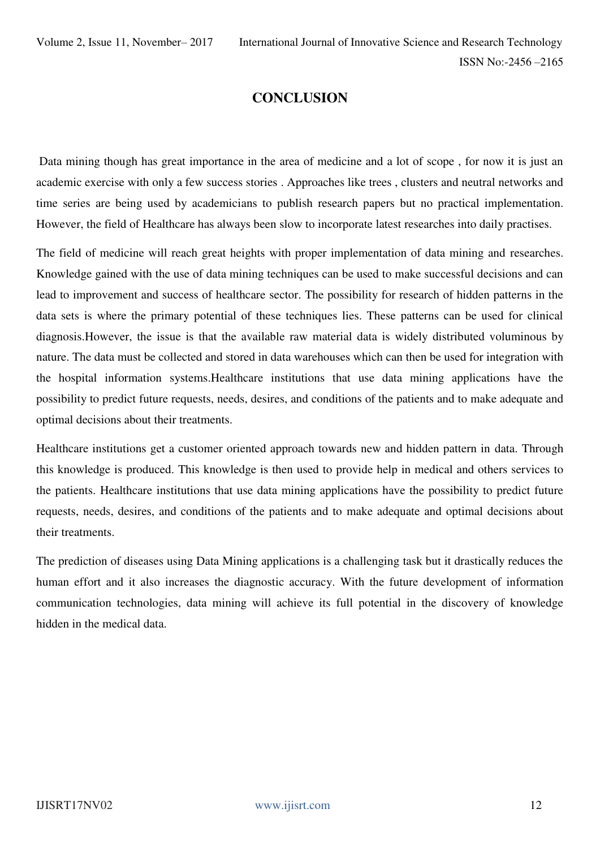# **CONCLUSION**

 Data mining though has great importance in the area of medicine and a lot of scope , for now it is just an academic exercise with only a few success stories . Approaches like trees , clusters and neutral networks and time series are being used by academicians to publish research papers but no practical implementation. However, the field of Healthcare has always been slow to incorporate latest researches into daily practises.

The field of medicine will reach great heights with proper implementation of data mining and researches. Knowledge gained with the use of data mining techniques can be used to make successful decisions and can lead to improvement and success of healthcare sector. The possibility for research of hidden patterns in the data sets is where the primary potential of these techniques lies. These patterns can be used for clinical diagnosis.However, the issue is that the available raw material data is widely distributed voluminous by nature. The data must be collected and stored in data warehouses which can then be used for integration with the hospital information systems.Healthcare institutions that use data mining applications have the possibility to predict future requests, needs, desires, and conditions of the patients and to make adequate and optimal decisions about their treatments.

Healthcare institutions get a customer oriented approach towards new and hidden pattern in data. Through this knowledge is produced. This knowledge is then used to provide help in medical and others services to the patients. Healthcare institutions that use data mining applications have the possibility to predict future requests, needs, desires, and conditions of the patients and to make adequate and optimal decisions about their treatments.

The prediction of diseases using Data Mining applications is a challenging task but it drastically reduces the human effort and it also increases the diagnostic accuracy. With the future development of information communication technologies, data mining will achieve its full potential in the discovery of knowledge hidden in the medical data.